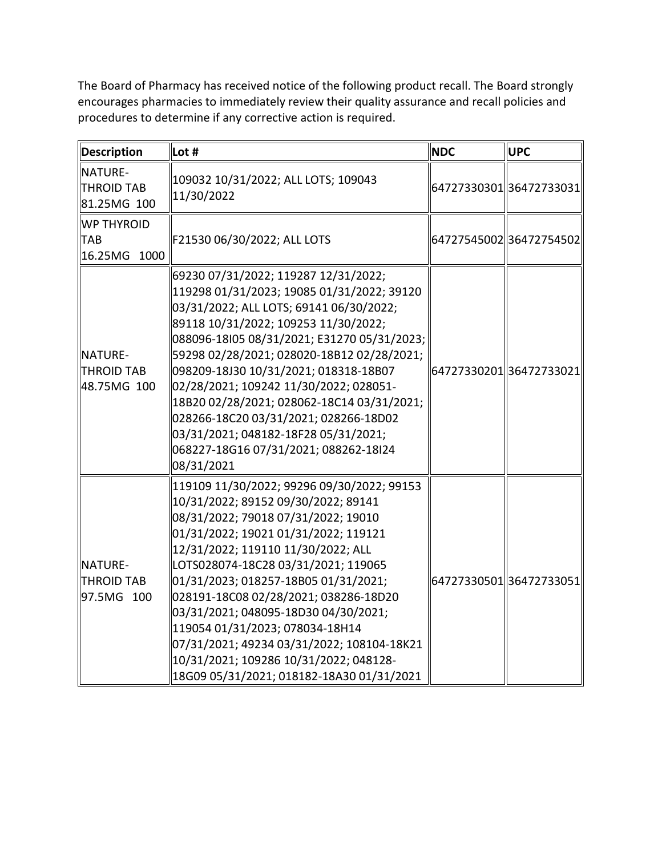The Board of Pharmacy has received notice of the following product recall. The Board strongly procedures to determine if any corrective action is required. encourages pharmacies to immediately review their quality assurance and recall policies and

| <b>Description</b>                                 | Lot #                                                                                                                                                                                                                                                                                                                                                                                                                                                                                                                                          | <b>NDC</b> | <b>UPC</b>               |
|----------------------------------------------------|------------------------------------------------------------------------------------------------------------------------------------------------------------------------------------------------------------------------------------------------------------------------------------------------------------------------------------------------------------------------------------------------------------------------------------------------------------------------------------------------------------------------------------------------|------------|--------------------------|
| NATURE-<br><b>THROID TAB</b><br>81.25MG 100        | 109032 10/31/2022; ALL LOTS; 109043<br>11/30/2022                                                                                                                                                                                                                                                                                                                                                                                                                                                                                              |            | 64727330301 36472733031  |
| <b>WP THYROID</b><br><b>TAB</b><br>16.25MG<br>1000 | F21530 06/30/2022; ALL LOTS                                                                                                                                                                                                                                                                                                                                                                                                                                                                                                                    |            | 64727545002 36472754502  |
| NATURE-<br>THROID TAB<br>48.75MG 100               | 69230 07/31/2022; 119287 12/31/2022;<br>119298 01/31/2023; 19085 01/31/2022; 39120<br>03/31/2022; ALL LOTS; 69141 06/30/2022;<br>89118 10/31/2022; 109253 11/30/2022;<br>088096-18l05 08/31/2021; E31270 05/31/2023;<br>59298 02/28/2021; 028020-18B12 02/28/2021;<br>098209-18J30 10/31/2021; 018318-18B07<br>02/28/2021; 109242 11/30/2022; 028051-<br>18B20 02/28/2021; 028062-18C14 03/31/2021;<br>028266-18C20 03/31/2021; 028266-18D02<br>03/31/2021; 048182-18F28 05/31/2021;<br>068227-18G16 07/31/2021; 088262-18l24<br>08/31/2021    |            | 64727330201  36472733021 |
| NATURE-<br><b>THROID TAB</b><br>97.5MG 100         | 119109 11/30/2022; 99296 09/30/2022; 99153<br>10/31/2022; 89152 09/30/2022; 89141<br>08/31/2022; 79018 07/31/2022; 19010<br>01/31/2022; 19021 01/31/2022; 119121<br>12/31/2022; 119110 11/30/2022; ALL<br>LOTS028074-18C28 03/31/2021; 119065<br>01/31/2023; 018257-18B05 01/31/2021;<br>028191-18C08 02/28/2021; 038286-18D20<br>03/31/2021; 048095-18D30 04/30/2021;<br>119054 01/31/2023; 078034-18H14<br>07/31/2021; 49234 03/31/2022; 108104-18K21<br>10/31/2021; 109286 10/31/2022; 048128-<br>18G09 05/31/2021; 018182-18A30 01/31/2021 |            | 64727330501  36472733051 |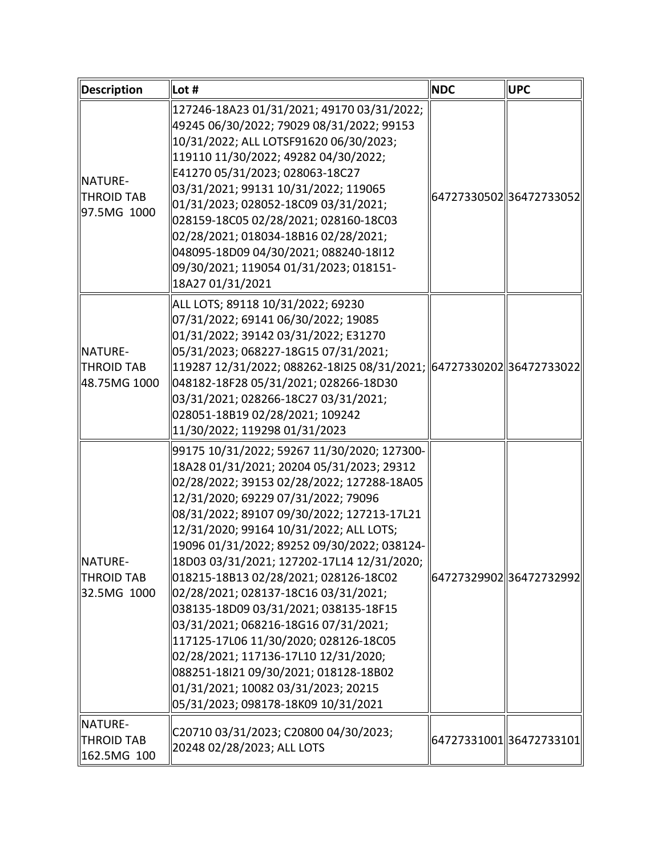| <b>Description</b>                           | $\vert$ Lot #                                                                                                                                                                                                                                                                                                                                                                                                                                                                                                                                                                                                                                                                                                                                             | <b>NDC</b> | <b>UPC</b>               |
|----------------------------------------------|-----------------------------------------------------------------------------------------------------------------------------------------------------------------------------------------------------------------------------------------------------------------------------------------------------------------------------------------------------------------------------------------------------------------------------------------------------------------------------------------------------------------------------------------------------------------------------------------------------------------------------------------------------------------------------------------------------------------------------------------------------------|------------|--------------------------|
| NATURE-<br>THROID TAB<br>97.5MG 1000         | 127246-18A23 01/31/2021; 49170 03/31/2022;<br>49245 06/30/2022; 79029 08/31/2022; 99153<br>  10/31/2022; ALL LOTSF91620 06/30/2023;<br>119110 11/30/2022; 49282 04/30/2022;<br>E41270 05/31/2023; 028063-18C27<br>03/31/2021; 99131 10/31/2022; 119065<br>01/31/2023; 028052-18C09 03/31/2021;<br>028159-18C05 02/28/2021; 028160-18C03<br>02/28/2021; 018034-18B16 02/28/2021;<br>048095-18D09 04/30/2021; 088240-18I12<br>  09/30/2021; 119054 01/31/2023; 018151-<br>18A27 01/31/2021                                                                                                                                                                                                                                                                  |            | 64727330502 36472733052  |
| <b>NATURE-</b><br>THROID TAB<br>48.75MG 1000 | ALL LOTS; 89118 10/31/2022; 69230<br>07/31/2022; 69141 06/30/2022; 19085<br>01/31/2022; 39142 03/31/2022; E31270<br>05/31/2023; 068227-18G15 07/31/2021;<br>  119287 12/31/2022; 088262-18I25 08/31/2021;  64727330202  36472733022 <br>048182-18F28 05/31/2021; 028266-18D30<br>03/31/2021; 028266-18C27 03/31/2021;<br>028051-18B19 02/28/2021; 109242<br>  11/30/2022; 119298 01/31/2023                                                                                                                                                                                                                                                                                                                                                               |            |                          |
| <b>NATURE-</b><br>THROID TAB<br>32.5MG 1000  | 99175 10/31/2022; 59267 11/30/2020; 127300-<br>  18A28 01/31/2021; 20204 05/31/2023; 29312<br>02/28/2022; 39153 02/28/2022; 127288-18A05<br>  12/31/2020; 69229 07/31/2022; 79096<br>08/31/2022; 89107 09/30/2022; 127213-17L21<br>  12/31/2020; 99164 10/31/2022; ALL LOTS;<br>  19096 01/31/2022; 89252 09/30/2022; 038124-<br>  18D03 03/31/2021; 127202-17L14 12/31/2020;<br>018215-18B13 02/28/2021; 028126-18C02<br>02/28/2021; 028137-18C16 03/31/2021;<br>038135-18D09 03/31/2021; 038135-18F15<br>03/31/2021; 068216-18G16 07/31/2021;<br>  117125-17L06 11/30/2020; 028126-18C05<br>02/28/2021; 117136-17L10 12/31/2020;<br>088251-18l21 09/30/2021; 018128-18B02<br>01/31/2021; 10082 03/31/2023; 20215<br>05/31/2023; 098178-18K09 10/31/2021 |            | 64727329902 36472732992  |
| NATURE-<br><b>THROID TAB</b><br>162.5MG 100  | C20710 03/31/2023; C20800 04/30/2023;<br>20248 02/28/2023; ALL LOTS                                                                                                                                                                                                                                                                                                                                                                                                                                                                                                                                                                                                                                                                                       |            | 64727331001  36472733101 |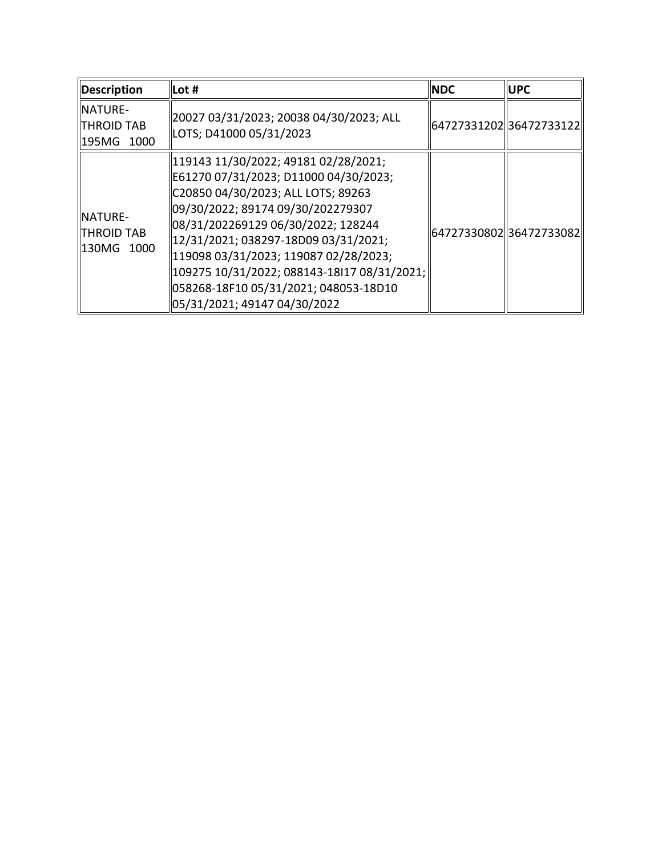| Description                                        | $\vert$ Lot #                                                                                                                                                                                                                                                                                                                                                                                                | <b>NDC</b> | <b>IUPC</b>             |
|----------------------------------------------------|--------------------------------------------------------------------------------------------------------------------------------------------------------------------------------------------------------------------------------------------------------------------------------------------------------------------------------------------------------------------------------------------------------------|------------|-------------------------|
| <b>INATURE-</b><br><b>THROID TAB</b><br>195MG 1000 | 20027 03/31/2023; 20038 04/30/2023; ALL<br>LOTS; D41000 05/31/2023                                                                                                                                                                                                                                                                                                                                           |            | 6472733120236472733122  |
| <b>NATURE-</b><br><b>THROID TAB</b><br>130MG 1000  | 119143 11/30/2022; 49181 02/28/2021;<br>E61270 07/31/2023; D11000 04/30/2023;<br>C20850 04/30/2023; ALL LOTS; 89263<br>09/30/2022; 89174 09/30/202279307<br>08/31/202269129 06/30/2022; 128244<br>  12/31/2021; 038297-18D09 03/31/2021;<br>  119098 03/31/2023; 119087 02/28/2023;<br> 109275 10/31/2022; 088143-18I17 08/31/2021;<br>058268-18F10 05/31/2021; 048053-18D10<br>05/31/2021; 49147 04/30/2022 |            | 64727330802 36472733082 |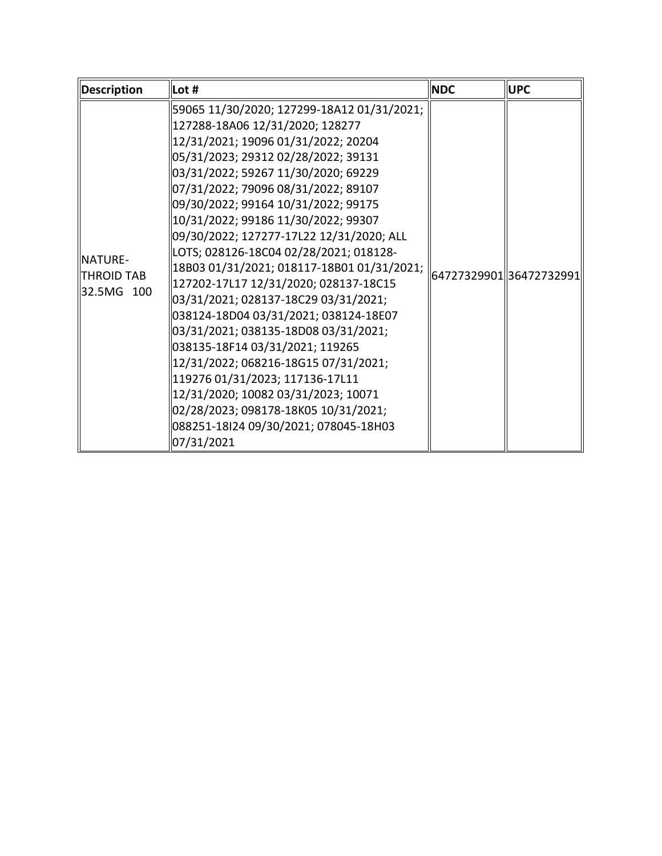| <b>Description</b>                                | Lot #                                                                                                                                                                                                                                                                                                                                                                                                                                                                                                                                                                                            | <b>NDC</b> | <b>UPC</b>              |
|---------------------------------------------------|--------------------------------------------------------------------------------------------------------------------------------------------------------------------------------------------------------------------------------------------------------------------------------------------------------------------------------------------------------------------------------------------------------------------------------------------------------------------------------------------------------------------------------------------------------------------------------------------------|------------|-------------------------|
|                                                   | 59065 11/30/2020; 127299-18A12 01/31/2021;<br>127288-18A06 12/31/2020; 128277<br> 12/31/2021; 19096 01/31/2022; 20204<br>  05/31/2023; 29312 02/28/2022; 39131<br>03/31/2022; 59267 11/30/2020; 69229<br>  07/31/2022; 79096 08/31/2022; 89107<br>  09/30/2022; 99164 10/31/2022; 99175                                                                                                                                                                                                                                                                                                          |            |                         |
| <b>NATURE-</b><br><b>THROID TAB</b><br>32.5MG 100 | 10/31/2022; 99186 11/30/2022; 99307<br>09/30/2022; 127277-17L22 12/31/2020; ALL <br>LOTS; 028126-18C04 02/28/2021; 018128-<br> 18B03 01/31/2021; 018117-18B01 01/31/2021;<br>127202-17L17 12/31/2020; 028137-18C15<br>03/31/2021; 028137-18C29 03/31/2021;<br>038124-18D04 03/31/2021; 038124-18E07<br>03/31/2021; 038135-18D08 03/31/2021;<br>038135-18F14 03/31/2021; 119265<br> 12/31/2022; 068216-18G15 07/31/2021;<br>119276 01/31/2023; 117136-17L11<br>12/31/2020; 10082 03/31/2023; 10071<br>02/28/2023; 098178-18K05 10/31/2021;<br>088251-18I24 09/30/2021; 078045-18H03<br>07/31/2021 |            | 64727329901 36472732991 |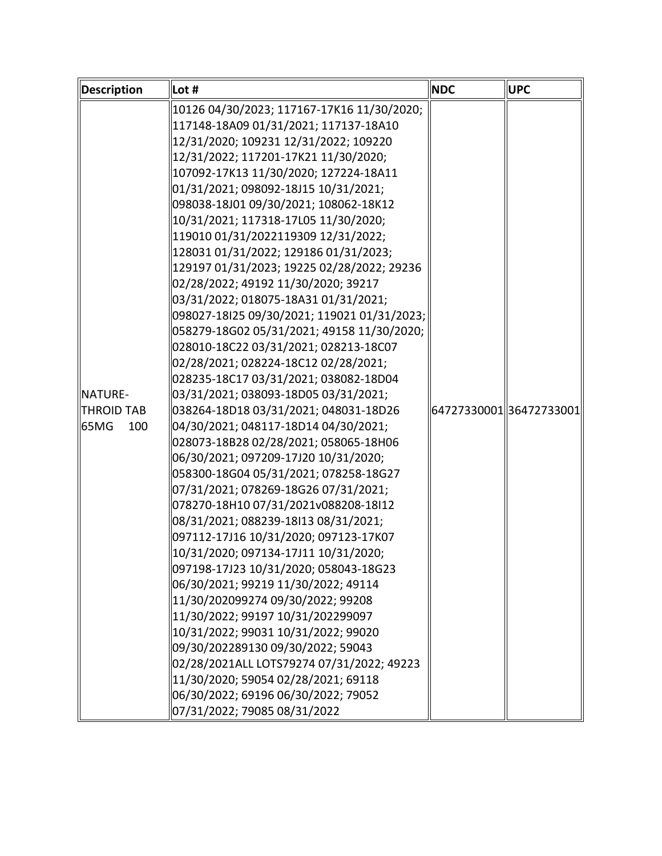| <b>Description</b> | $\vert$ Lot #                               | <b>NDC</b> | <b>UPC</b>              |
|--------------------|---------------------------------------------|------------|-------------------------|
|                    | 10126 04/30/2023; 117167-17K16 11/30/2020;  |            |                         |
|                    | 117148-18A09 01/31/2021; 117137-18A10       |            |                         |
|                    | 12/31/2020; 109231 12/31/2022; 109220       |            |                         |
|                    | 12/31/2022; 117201-17K21 11/30/2020;        |            |                         |
|                    | 107092-17K13 11/30/2020; 127224-18A11       |            |                         |
|                    | 01/31/2021; 098092-18J15 10/31/2021;        |            |                         |
|                    | 098038-18J01 09/30/2021; 108062-18K12       |            |                         |
|                    | 10/31/2021; 117318-17L05 11/30/2020;        |            |                         |
|                    | 119010 01/31/2022119309 12/31/2022;         |            |                         |
|                    | 128031 01/31/2022; 129186 01/31/2023;       |            |                         |
|                    | 129197 01/31/2023; 19225 02/28/2022; 29236  |            |                         |
|                    | 02/28/2022; 49192 11/30/2020; 39217         |            |                         |
|                    | 03/31/2022; 018075-18A31 01/31/2021;        |            |                         |
|                    | 098027-18l25 09/30/2021; 119021 01/31/2023; |            |                         |
|                    | 058279-18G02 05/31/2021; 49158 11/30/2020;  |            |                         |
|                    | 028010-18C22 03/31/2021; 028213-18C07       |            |                         |
|                    | 02/28/2021; 028224-18C12 02/28/2021;        |            |                         |
|                    | 028235-18C17 03/31/2021; 038082-18D04       |            |                         |
| <b>NATURE-</b>     | 03/31/2021; 038093-18D05 03/31/2021;        |            |                         |
| <b>THROID TAB</b>  | 038264-18D18 03/31/2021; 048031-18D26       |            | 64727330001 36472733001 |
| 65MG<br>100        | 04/30/2021; 048117-18D14 04/30/2021;        |            |                         |
|                    | 028073-18B28 02/28/2021; 058065-18H06       |            |                         |
|                    | 06/30/2021; 097209-17J20 10/31/2020;        |            |                         |
|                    | 058300-18G04 05/31/2021; 078258-18G27       |            |                         |
|                    | 07/31/2021; 078269-18G26 07/31/2021;        |            |                         |
|                    | 078270-18H10 07/31/2021v088208-18I12        |            |                         |
|                    | 08/31/2021; 088239-18I13 08/31/2021;        |            |                         |
|                    | 097112-17J16 10/31/2020; 097123-17K07       |            |                         |
|                    | 10/31/2020; 097134-17J11 10/31/2020;        |            |                         |
|                    | 097198-17J23 10/31/2020; 058043-18G23       |            |                         |
|                    | 06/30/2021; 99219 11/30/2022; 49114         |            |                         |
|                    | 11/30/202099274 09/30/2022; 99208           |            |                         |
|                    | 11/30/2022; 99197 10/31/202299097           |            |                         |
|                    | 10/31/2022; 99031 10/31/2022; 99020         |            |                         |
|                    | 09/30/202289130 09/30/2022; 59043           |            |                         |
|                    | 02/28/2021ALL LOTS79274 07/31/2022; 49223   |            |                         |
|                    | 11/30/2020; 59054 02/28/2021; 69118         |            |                         |
|                    | 06/30/2022; 69196 06/30/2022; 79052         |            |                         |
|                    | 07/31/2022; 79085 08/31/2022                |            |                         |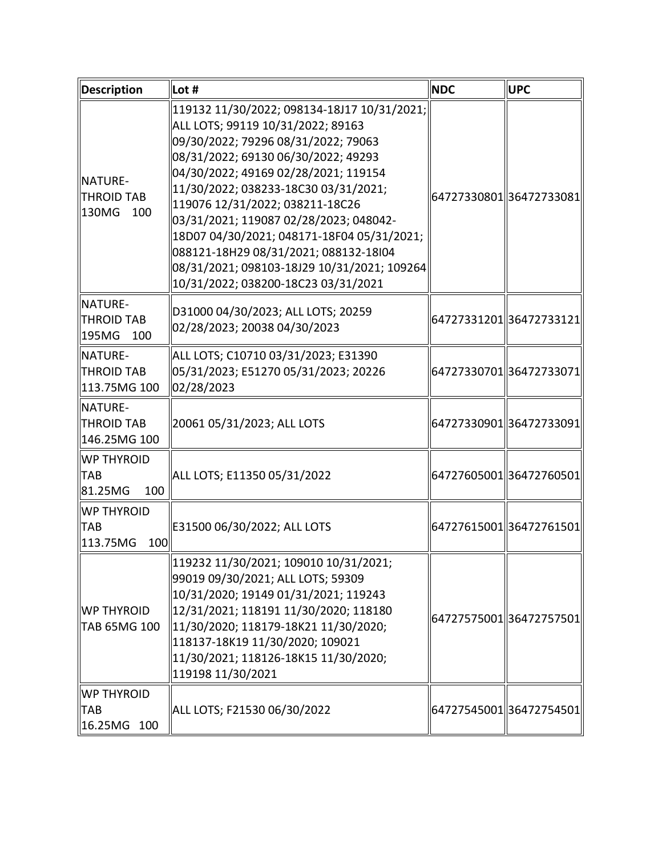| Description                                          | Lot #                                                                                                                                                                                                                                                                                                                                                                                                                                                                                                      | <b>NDC</b>              | <b>UPC</b>               |
|------------------------------------------------------|------------------------------------------------------------------------------------------------------------------------------------------------------------------------------------------------------------------------------------------------------------------------------------------------------------------------------------------------------------------------------------------------------------------------------------------------------------------------------------------------------------|-------------------------|--------------------------|
| NATURE-<br><b>THROID TAB</b><br>ll130MG<br>100       | 119132 11/30/2022; 098134-18J17 10/31/2021;<br>ALL LOTS; 99119 10/31/2022; 89163<br>09/30/2022; 79296 08/31/2022; 79063<br>08/31/2022; 69130 06/30/2022; 49293<br>04/30/2022; 49169 02/28/2021; 119154<br>11/30/2022; 038233-18C30 03/31/2021;<br>  119076 12/31/2022; 038211-18C26<br>03/31/2021; 119087 02/28/2023; 048042-<br>18D07 04/30/2021; 048171-18F04 05/31/2021;<br>088121-18H29 08/31/2021; 088132-18I04<br>08/31/2021; 098103-18J29 10/31/2021; 109264<br>10/31/2022; 038200-18C23 03/31/2021 | 64727330801 36472733081 |                          |
| NATURE-<br><b>THROID TAB</b><br>195MG<br>100         | D31000 04/30/2023; ALL LOTS; 20259<br>02/28/2023; 20038 04/30/2023                                                                                                                                                                                                                                                                                                                                                                                                                                         |                         | 64727331201  36472733121 |
| <b>NATURE-</b><br><b>THROID TAB</b><br>113.75MG 100  | ALL LOTS; C10710 03/31/2023; E31390<br>05/31/2023; E51270 05/31/2023; 20226<br>02/28/2023                                                                                                                                                                                                                                                                                                                                                                                                                  |                         | 64727330701  36472733071 |
| <b>INATURE-</b><br><b>THROID TAB</b><br>146.25MG 100 | 20061 05/31/2023; ALL LOTS                                                                                                                                                                                                                                                                                                                                                                                                                                                                                 |                         | 64727330901  36472733091 |
| <b>WP THYROID</b><br><b>TAB</b><br>100<br>81.25MG    | ALL LOTS; E11350 05/31/2022                                                                                                                                                                                                                                                                                                                                                                                                                                                                                |                         | 64727605001  36472760501 |
| <b>WP THYROID</b><br><b>TAB</b><br>100<br>113.75MG   | E31500 06/30/2022; ALL LOTS                                                                                                                                                                                                                                                                                                                                                                                                                                                                                |                         | 64727615001  36472761501 |
| WP THYROID<br>TAB 65MG 100                           | 119232 11/30/2021; 109010 10/31/2021;<br>99019 09/30/2021; ALL LOTS; 59309<br>  10/31/2020; 19149 01/31/2021; 119243<br>  12/31/2021; 118191 11/30/2020; 118180<br>  11/30/2020; 118179-18K21 11/30/2020;<br>118137-18K19 11/30/2020; 109021<br>11/30/2021; 118126-18K15 11/30/2020;<br>119198 11/30/2021                                                                                                                                                                                                  |                         | 64727575001 36472757501  |
| <b>WP THYROID</b><br><b>TAB</b><br>16.25MG 100       | ALL LOTS; F21530 06/30/2022                                                                                                                                                                                                                                                                                                                                                                                                                                                                                |                         | 64727545001 36472754501  |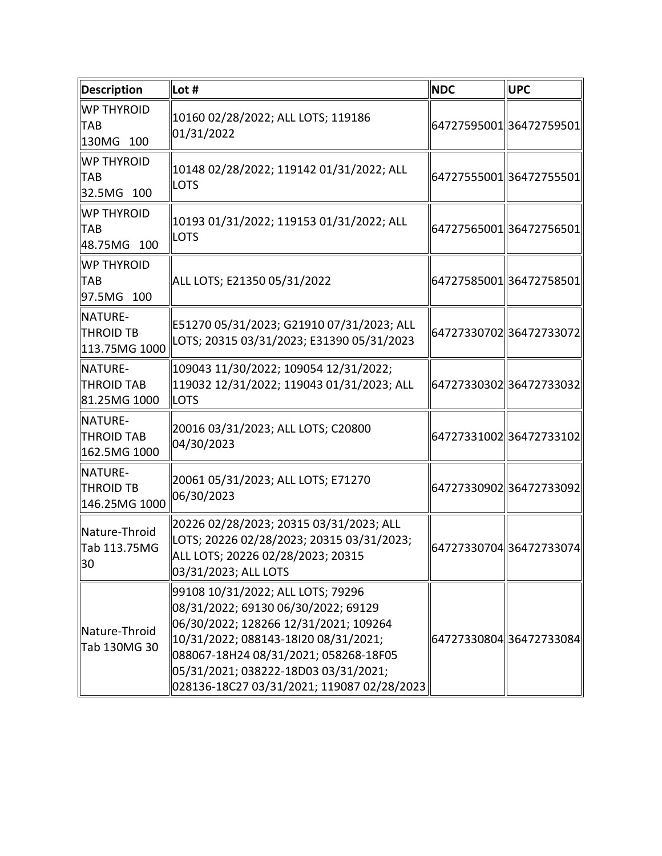| <b>Description</b>                             | $\ $ Lot #                                                                                                                                                                                                                                                                               | <b>NDC</b> | <b>UPC</b>              |
|------------------------------------------------|------------------------------------------------------------------------------------------------------------------------------------------------------------------------------------------------------------------------------------------------------------------------------------------|------------|-------------------------|
| <b>WP THYROID</b><br><b>TAB</b><br>130MG 100   | 10160 02/28/2022; ALL LOTS; 119186<br>01/31/2022                                                                                                                                                                                                                                         |            | 64727595001 36472759501 |
| <b>WP THYROID</b><br><b>TAB</b><br>32.5MG 100  | 10148 02/28/2022; 119142 01/31/2022; ALL<br><b>LOTS</b>                                                                                                                                                                                                                                  |            | 64727555001 36472755501 |
| <b>WP THYROID</b><br><b>TAB</b><br>48.75MG 100 | 10193 01/31/2022; 119153 01/31/2022; ALL<br><b>LOTS</b>                                                                                                                                                                                                                                  |            | 64727565001 36472756501 |
| <b>WP THYROID</b><br><b>TAB</b><br>97.5MG 100  | ALL LOTS; E21350 05/31/2022                                                                                                                                                                                                                                                              |            | 64727585001 36472758501 |
| NATURE-<br><b>THROID TB</b><br>113.75MG 1000   | E51270 05/31/2023; G21910 07/31/2023; ALL<br>LOTS; 20315 03/31/2023; E31390 05/31/2023                                                                                                                                                                                                   |            | 6472733070236472733072  |
| NATURE-<br><b>THROID TAB</b><br>81.25MG 1000   | 109043 11/30/2022; 109054 12/31/2022;<br>119032 12/31/2022; 119043 01/31/2023; ALL<br><b>ILOTS</b>                                                                                                                                                                                       |            | 64727330302 36472733032 |
| NATURE-<br><b>THROID TAB</b><br>162.5MG 1000   | 20016 03/31/2023; ALL LOTS; C20800<br>04/30/2023                                                                                                                                                                                                                                         |            | 64727331002 36472733102 |
| NATURE-<br><b>THROID TB</b><br>146.25MG 1000   | 20061 05/31/2023; ALL LOTS; E71270<br>06/30/2023                                                                                                                                                                                                                                         |            | 64727330902 36472733092 |
| Nature-Throid<br>Tab 113.75MG<br>30            | 20226 02/28/2023; 20315 03/31/2023; ALL<br>LOTS; 20226 02/28/2023; 20315 03/31/2023;<br>ALL LOTS; 20226 02/28/2023; 20315<br>03/31/2023; ALL LOTS                                                                                                                                        |            | 64727330704 36472733074 |
| Nature-Throid<br>Tab 130MG 30                  | 99108 10/31/2022; ALL LOTS; 79296<br>08/31/2022; 69130 06/30/2022; 69129<br>06/30/2022; 128266 12/31/2021; 109264<br>10/31/2022; 088143-18I20 08/31/2021;<br>088067-18H24 08/31/2021; 058268-18F05<br>05/31/2021; 038222-18D03 03/31/2021;<br>028136-18C27 03/31/2021; 119087 02/28/2023 |            | 64727330804 36472733084 |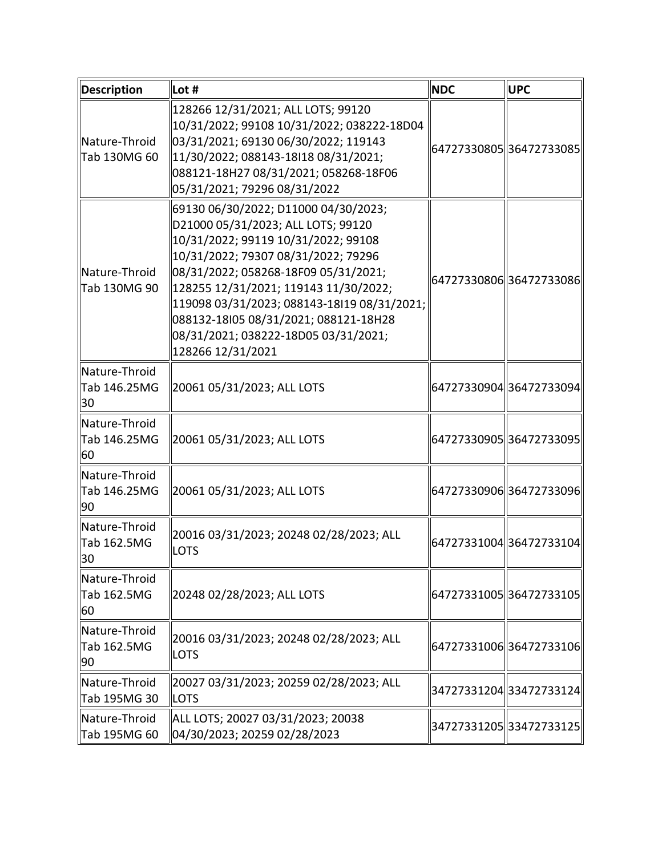| <b>Description</b>                  | Lot #                                                                                                                                                                                                                                                                                                                                                                                          | <b>NDC</b> | <b>UPC</b>               |
|-------------------------------------|------------------------------------------------------------------------------------------------------------------------------------------------------------------------------------------------------------------------------------------------------------------------------------------------------------------------------------------------------------------------------------------------|------------|--------------------------|
| Nature-Throid<br>Tab 130MG 60       | 128266 12/31/2021; ALL LOTS; 99120<br>10/31/2022; 99108 10/31/2022; 038222-18D04<br>03/31/2021; 69130 06/30/2022; 119143<br>11/30/2022; 088143-18I18 08/31/2021;<br>088121-18H27 08/31/2021; 058268-18F06<br>05/31/2021; 79296 08/31/2022                                                                                                                                                      |            | 64727330805 36472733085  |
| Nature-Throid<br>Tab 130MG 90       | 69130 06/30/2022; D11000 04/30/2023;<br>D21000 05/31/2023; ALL LOTS; 99120<br>10/31/2022; 99119 10/31/2022; 99108<br>10/31/2022; 79307 08/31/2022; 79296<br>08/31/2022; 058268-18F09 05/31/2021;<br>128255 12/31/2021; 119143 11/30/2022;<br>119098 03/31/2023; 088143-18l19 08/31/2021;<br>088132-18l05 08/31/2021; 088121-18H28<br>08/31/2021; 038222-18D05 03/31/2021;<br>128266 12/31/2021 |            | 64727330806 36472733086  |
| Nature-Throid<br>Tab 146.25MG<br>30 | 20061 05/31/2023; ALL LOTS                                                                                                                                                                                                                                                                                                                                                                     |            | 64727330904  36472733094 |
| Nature-Throid<br>Tab 146.25MG<br>60 | 20061 05/31/2023; ALL LOTS                                                                                                                                                                                                                                                                                                                                                                     |            | 64727330905 36472733095  |
| Nature-Throid<br>Tab 146.25MG<br>90 | 20061 05/31/2023; ALL LOTS                                                                                                                                                                                                                                                                                                                                                                     |            | 64727330906 36472733096  |
| Nature-Throid<br>Tab 162.5MG<br>30  | 20016 03/31/2023; 20248 02/28/2023; ALL<br><b>LOTS</b>                                                                                                                                                                                                                                                                                                                                         |            | 64727331004 36472733104  |
| Nature-Throid<br>Tab 162.5MG<br>60  | 20248 02/28/2023; ALL LOTS                                                                                                                                                                                                                                                                                                                                                                     |            | 64727331005 36472733105  |
| Nature-Throid<br>Tab 162.5MG<br>90  | 20016 03/31/2023; 20248 02/28/2023; ALL<br><b>LOTS</b>                                                                                                                                                                                                                                                                                                                                         |            | 64727331006 36472733106  |
| Nature-Throid<br>Tab 195MG 30       | 20027 03/31/2023; 20259 02/28/2023; ALL<br><b>LOTS</b>                                                                                                                                                                                                                                                                                                                                         |            | 34727331204 33472733124  |
| Nature-Throid<br>Tab 195MG 60       | ALL LOTS; 20027 03/31/2023; 20038<br>04/30/2023; 20259 02/28/2023                                                                                                                                                                                                                                                                                                                              |            | 34727331205  33472733125 |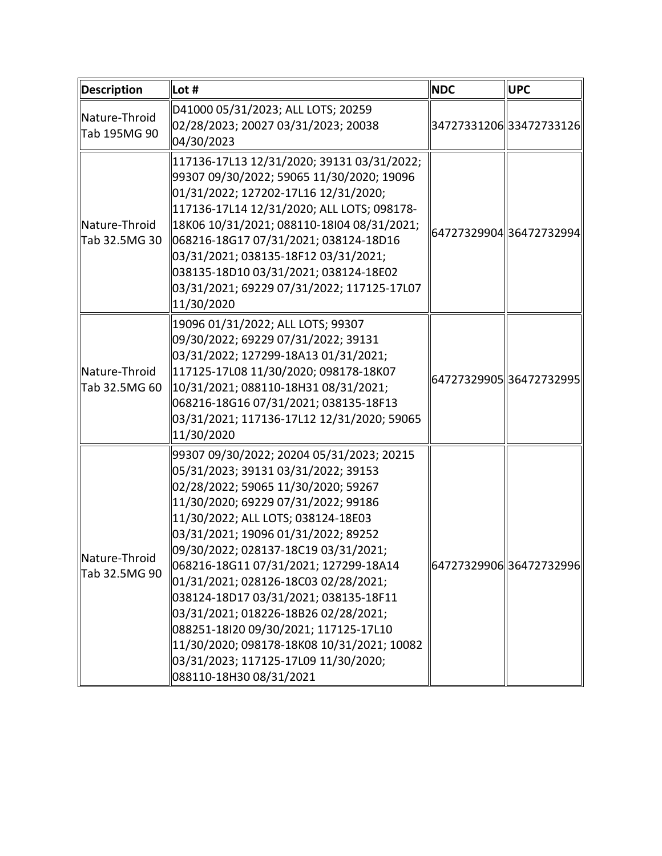| Description                    | Lot #                                                                                                                                                                                                                                                                                                                                                                                                                                                                                                                                                                                                           | <b>NDC</b> | <b>UPC</b>               |
|--------------------------------|-----------------------------------------------------------------------------------------------------------------------------------------------------------------------------------------------------------------------------------------------------------------------------------------------------------------------------------------------------------------------------------------------------------------------------------------------------------------------------------------------------------------------------------------------------------------------------------------------------------------|------------|--------------------------|
| Nature-Throid<br>Tab 195MG 90  | D41000 05/31/2023; ALL LOTS; 20259<br>02/28/2023; 20027 03/31/2023; 20038<br>04/30/2023                                                                                                                                                                                                                                                                                                                                                                                                                                                                                                                         |            | 34727331206 33472733126  |
| Nature-Throid<br>Tab 32.5MG 30 | 117136-17L13 12/31/2020; 39131 03/31/2022;<br>99307 09/30/2022; 59065 11/30/2020; 19096<br>01/31/2022; 127202-17L16 12/31/2020;<br>117136-17L14 12/31/2020; ALL LOTS; 098178-<br>18K06 10/31/2021; 088110-18l04 08/31/2021;<br>068216-18G17 07/31/2021; 038124-18D16<br>03/31/2021; 038135-18F12 03/31/2021;<br>038135-18D10 03/31/2021; 038124-18E02<br>03/31/2021; 69229 07/31/2022; 117125-17L07<br>11/30/2020                                                                                                                                                                                               |            | 64727329904 36472732994  |
| Nature-Throid<br>Tab 32.5MG 60 | 19096 01/31/2022; ALL LOTS; 99307<br>09/30/2022; 69229 07/31/2022; 39131<br>03/31/2022; 127299-18A13 01/31/2021;<br>117125-17L08 11/30/2020; 098178-18K07<br>10/31/2021; 088110-18H31 08/31/2021;<br>068216-18G16 07/31/2021; 038135-18F13<br>03/31/2021; 117136-17L12 12/31/2020; 59065<br>11/30/2020                                                                                                                                                                                                                                                                                                          |            | 64727329905 36472732995  |
| Nature-Throid<br>Tab 32.5MG 90 | 99307 09/30/2022; 20204 05/31/2023; 20215<br>05/31/2023; 39131 03/31/2022; 39153<br>02/28/2022; 59065 11/30/2020; 59267<br>11/30/2020; 69229 07/31/2022; 99186<br>11/30/2022; ALL LOTS; 038124-18E03<br>03/31/2021; 19096 01/31/2022; 89252<br>09/30/2022; 028137-18C19 03/31/2021;<br>068216-18G11 07/31/2021; 127299-18A14<br>01/31/2021; 028126-18C03 02/28/2021;<br>038124-18D17 03/31/2021; 038135-18F11<br>03/31/2021; 018226-18B26 02/28/2021;<br>088251-18l20 09/30/2021; 117125-17L10<br>11/30/2020; 098178-18K08 10/31/2021; 10082<br>03/31/2023; 117125-17L09 11/30/2020;<br>088110-18H30 08/31/2021 |            | 64727329906  36472732996 |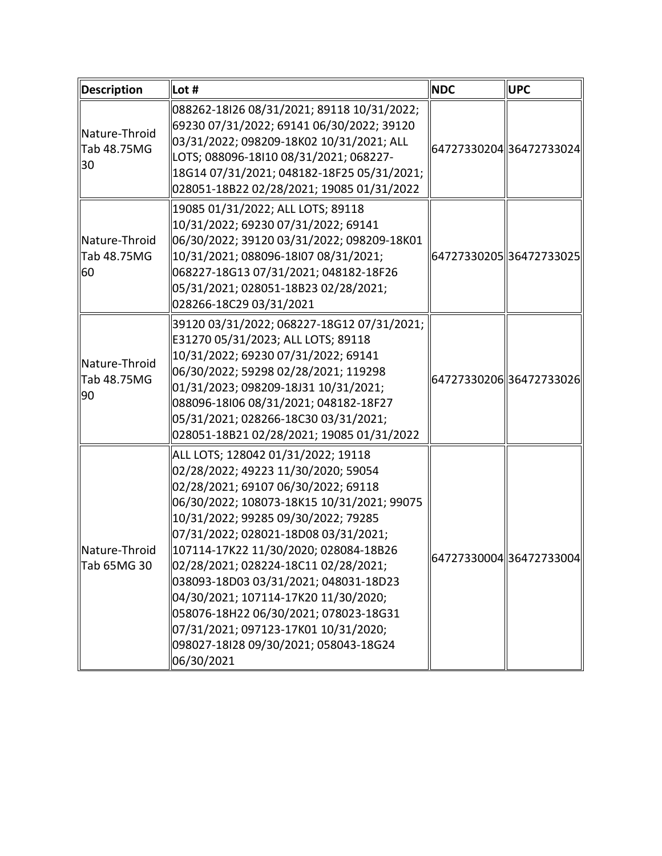| <b>Description</b>                 | Lot #                                                                                                                                                                                                                                                                                                                                                                                                                                                                                                                                                      | <b>NDC</b> | <b>UPC</b>              |
|------------------------------------|------------------------------------------------------------------------------------------------------------------------------------------------------------------------------------------------------------------------------------------------------------------------------------------------------------------------------------------------------------------------------------------------------------------------------------------------------------------------------------------------------------------------------------------------------------|------------|-------------------------|
| Nature-Throid<br>Tab 48.75MG<br>30 | 088262-18I26 08/31/2021; 89118 10/31/2022;<br>69230 07/31/2022; 69141 06/30/2022; 39120<br>03/31/2022; 098209-18K02 10/31/2021; ALL<br>LOTS; 088096-18I10 08/31/2021; 068227-<br>18G14 07/31/2021; 048182-18F25 05/31/2021;<br>028051-18B22 02/28/2021; 19085 01/31/2022                                                                                                                                                                                                                                                                                   |            | 64727330204 36472733024 |
| Nature-Throid<br>Tab 48.75MG<br>60 | 19085 01/31/2022; ALL LOTS; 89118<br>10/31/2022; 69230 07/31/2022; 69141<br>06/30/2022; 39120 03/31/2022; 098209-18K01<br>  10/31/2021; 088096-18I07 08/31/2021;<br>068227-18G13 07/31/2021; 048182-18F26<br>05/31/2021; 028051-18B23 02/28/2021;<br>028266-18C29 03/31/2021                                                                                                                                                                                                                                                                               |            | 64727330205 36472733025 |
| Nature-Throid<br>Tab 48.75MG<br>90 | 39120 03/31/2022; 068227-18G12 07/31/2021;<br>E31270 05/31/2023; ALL LOTS; 89118<br>10/31/2022; 69230 07/31/2022; 69141<br>06/30/2022; 59298 02/28/2021; 119298<br>01/31/2023; 098209-18J31 10/31/2021;<br>088096-18l06 08/31/2021; 048182-18F27<br>05/31/2021; 028266-18C30 03/31/2021;<br>028051-18B21 02/28/2021; 19085 01/31/2022                                                                                                                                                                                                                      |            | 64727330206 36472733026 |
| Nature-Throid<br>Tab 65MG 30       | ALL LOTS; 128042 01/31/2022; 19118<br>02/28/2022; 49223 11/30/2020; 59054<br>02/28/2021; 69107 06/30/2022; 69118<br>06/30/2022; 108073-18K15 10/31/2021; 99075<br>10/31/2022; 99285 09/30/2022; 79285<br>07/31/2022; 028021-18D08 03/31/2021;<br>  107114-17K22 11/30/2020; 028084-18B26<br>02/28/2021; 028224-18C11 02/28/2021;<br>038093-18D03 03/31/2021; 048031-18D23 <br>04/30/2021; 107114-17K20 11/30/2020;<br>058076-18H22 06/30/2021; 078023-18G31<br>07/31/2021; 097123-17K01 10/31/2020;<br>098027-18128 09/30/2021; 058043-18G24<br>06/30/2021 |            | 64727330004 36472733004 |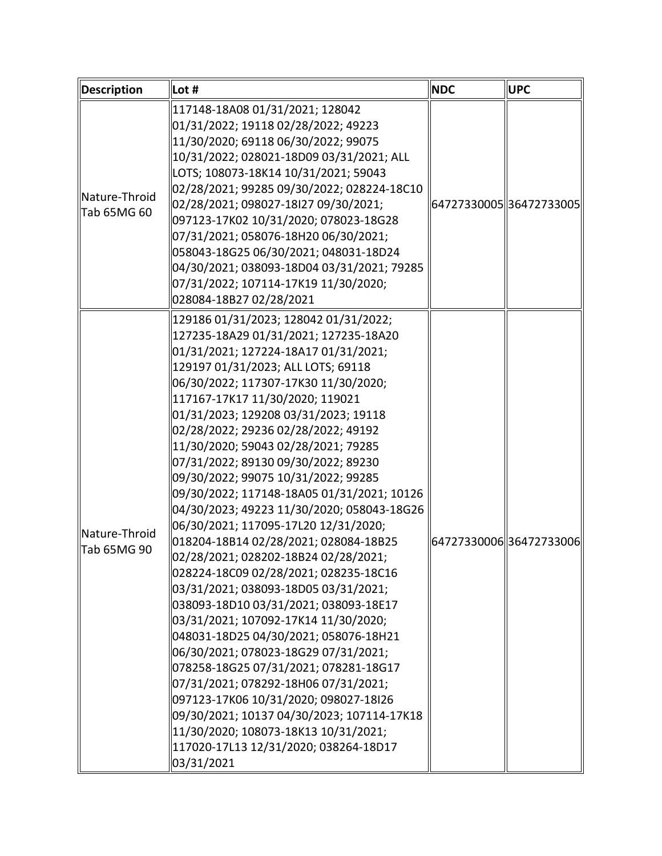| <b>Description</b>           | $\ $ Lot #                                                                                                                                                                                                                                                                                                                                                                                                                                                                                                                                                                                                                                                                                                                                                                                                                                                                                                                                                                                                                                                                                                                                                                                   | <b>NDC</b> | <b>UPC</b>              |
|------------------------------|----------------------------------------------------------------------------------------------------------------------------------------------------------------------------------------------------------------------------------------------------------------------------------------------------------------------------------------------------------------------------------------------------------------------------------------------------------------------------------------------------------------------------------------------------------------------------------------------------------------------------------------------------------------------------------------------------------------------------------------------------------------------------------------------------------------------------------------------------------------------------------------------------------------------------------------------------------------------------------------------------------------------------------------------------------------------------------------------------------------------------------------------------------------------------------------------|------------|-------------------------|
| Nature-Throid<br>Tab 65MG 60 | 117148-18A08 01/31/2021; 128042<br>01/31/2022; 19118 02/28/2022; 49223<br>11/30/2020; 69118 06/30/2022; 99075<br>10/31/2022; 028021-18D09 03/31/2021; ALL<br>LOTS; 108073-18K14 10/31/2021; 59043<br>02/28/2021; 99285 09/30/2022; 028224-18C10<br>02/28/2021; 098027-18I27 09/30/2021;<br>097123-17K02 10/31/2020; 078023-18G28<br>07/31/2021; 058076-18H20 06/30/2021;<br>058043-18G25 06/30/2021; 048031-18D24<br>04/30/2021; 038093-18D04 03/31/2021; 79285<br>07/31/2022; 107114-17K19 11/30/2020;<br>028084-18B27 02/28/2021                                                                                                                                                                                                                                                                                                                                                                                                                                                                                                                                                                                                                                                           |            | 64727330005 36472733005 |
| Nature-Throid<br>Tab 65MG 90 | 129186 01/31/2023; 128042 01/31/2022;<br>127235-18A29 01/31/2021; 127235-18A20<br>01/31/2021; 127224-18A17 01/31/2021;<br>129197 01/31/2023; ALL LOTS; 69118<br>06/30/2022; 117307-17K30 11/30/2020;<br>117167-17K17 11/30/2020; 119021<br>01/31/2023; 129208 03/31/2023; 19118<br>02/28/2022; 29236 02/28/2022; 49192<br>11/30/2020; 59043 02/28/2021; 79285<br>07/31/2022; 89130 09/30/2022; 89230<br>09/30/2022; 99075 10/31/2022; 99285<br>09/30/2022; 117148-18A05 01/31/2021; 10126<br>04/30/2023; 49223 11/30/2020; 058043-18G26<br>06/30/2021; 117095-17L20 12/31/2020;<br>018204-18B14 02/28/2021; 028084-18B25<br>02/28/2021; 028202-18B24 02/28/2021;<br>028224-18C09 02/28/2021; 028235-18C16<br>03/31/2021; 038093-18D05 03/31/2021;<br>038093-18D10 03/31/2021; 038093-18E17<br>03/31/2021; 107092-17K14 11/30/2020;<br>048031-18D25 04/30/2021; 058076-18H21<br>06/30/2021; 078023-18G29 07/31/2021;<br>078258-18G25 07/31/2021; 078281-18G17<br>07/31/2021; 078292-18H06 07/31/2021;<br>097123-17K06 10/31/2020; 098027-18I26<br>09/30/2021; 10137 04/30/2023; 107114-17K18<br>  11/30/2020; 108073-18K13 10/31/2021;<br>117020-17L13 12/31/2020; 038264-18D17<br>03/31/2021 |            | 64727330006 36472733006 |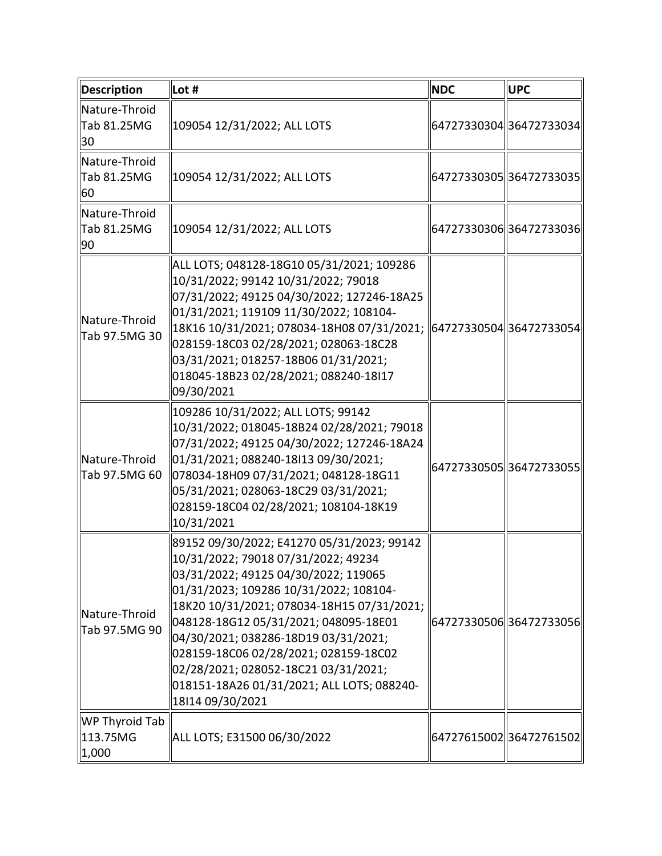| <b>Description</b>                  | Lot #                                                                                                                                                                                                                                                                                                                                                                                                                                                 | <b>NDC</b> | <b>UPC</b>               |
|-------------------------------------|-------------------------------------------------------------------------------------------------------------------------------------------------------------------------------------------------------------------------------------------------------------------------------------------------------------------------------------------------------------------------------------------------------------------------------------------------------|------------|--------------------------|
| Nature-Throid<br>Tab 81.25MG<br>30  | 109054 12/31/2022; ALL LOTS                                                                                                                                                                                                                                                                                                                                                                                                                           |            | 64727330304  36472733034 |
| Nature-Throid<br>Tab 81.25MG<br>60  | 109054 12/31/2022; ALL LOTS                                                                                                                                                                                                                                                                                                                                                                                                                           |            | 64727330305  36472733035 |
| Nature-Throid<br>Tab 81.25MG<br>90  | 109054 12/31/2022; ALL LOTS                                                                                                                                                                                                                                                                                                                                                                                                                           |            | 64727330306  36472733036 |
| Nature-Throid<br>Tab 97.5MG 30      | ALL LOTS; 048128-18G10 05/31/2021; 109286<br>10/31/2022; 99142 10/31/2022; 79018<br>07/31/2022; 49125 04/30/2022; 127246-18A25<br>01/31/2021; 119109 11/30/2022; 108104-<br>18K16 10/31/2021; 078034-18H08 07/31/2021;<br>028159-18C03 02/28/2021; 028063-18C28<br>03/31/2021; 018257-18B06 01/31/2021;<br>018045-18B23 02/28/2021; 088240-18l17<br>09/30/2021                                                                                        |            | 64727330504 36472733054  |
| Nature-Throid<br>Tab 97.5MG 60      | 109286 10/31/2022; ALL LOTS; 99142<br>10/31/2022; 018045-18B24 02/28/2021; 79018<br>07/31/2022; 49125 04/30/2022; 127246-18A24<br>01/31/2021; 088240-18I13 09/30/2021;<br>078034-18H09 07/31/2021; 048128-18G11<br>05/31/2021; 028063-18C29 03/31/2021;<br>028159-18C04 02/28/2021; 108104-18K19<br>10/31/2021                                                                                                                                        |            | 64727330505  36472733055 |
| Nature-Throid<br>Tab 97.5MG 90      | 89152 09/30/2022; E41270 05/31/2023; 99142<br>10/31/2022; 79018 07/31/2022; 49234<br>03/31/2022; 49125 04/30/2022; 119065<br>01/31/2023; 109286 10/31/2022; 108104-<br>18K20 10/31/2021; 078034-18H15 07/31/2021;<br>048128-18G12 05/31/2021; 048095-18E01<br>04/30/2021; 038286-18D19 03/31/2021;<br>028159-18C06 02/28/2021; 028159-18C02<br>02/28/2021; 028052-18C21 03/31/2021;<br>018151-18A26 01/31/2021; ALL LOTS; 088240-<br>18 14 09/30/2021 |            | 64727330506 36472733056  |
| WP Thyroid Tab<br>113.75MG<br>1,000 | ALL LOTS; E31500 06/30/2022                                                                                                                                                                                                                                                                                                                                                                                                                           |            | 64727615002 36472761502  |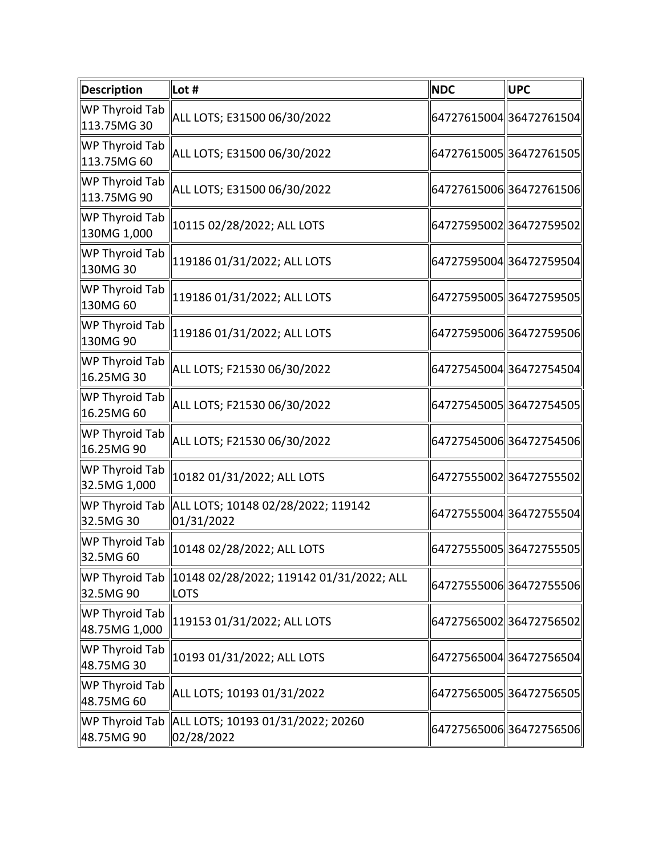| <b>Description</b>              | $\ $ Lot #                  | <b>NDC</b> | UPC                      |
|---------------------------------|-----------------------------|------------|--------------------------|
| WP Thyroid Tab<br>113.75MG 30   | ALL LOTS; E31500 06/30/2022 |            | 64727615004 36472761504  |
| WP Thyroid Tab<br>113.75MG 60   | ALL LOTS; E31500 06/30/2022 |            | 64727615005 36472761505  |
| WP Thyroid Tab<br>113.75MG 90   | ALL LOTS; E31500 06/30/2022 |            | 64727615006 36472761506  |
| WP Thyroid Tab<br>130MG 1,000   | 10115 02/28/2022; ALL LOTS  |            | 64727595002 36472759502  |
| WP Thyroid Tab<br>130MG 30      | 119186 01/31/2022; ALL LOTS |            | 64727595004  36472759504 |
| WP Thyroid Tab<br>130MG 60      | 119186 01/31/2022; ALL LOTS |            | 64727595005 36472759505  |
| WP Thyroid Tab<br>130MG 90      | 119186 01/31/2022; ALL LOTS |            | 64727595006 36472759506  |
| WP Thyroid Tab<br>la6.25MG 30   | ALL LOTS; F21530 06/30/2022 |            | 64727545004 36472754504  |
| WP Thyroid Tab<br>16.25MG 60    | ALL LOTS; F21530 06/30/2022 |            | 64727545005 36472754505  |
| WP Thyroid Tab<br>16.25MG 90    | ALL LOTS; F21530 06/30/2022 |            | 64727545006 36472754506  |
| WP Thyroid Tab<br>32.5MG 1,000  | 10182 01/31/2022; ALL LOTS  |            | 64727555002 36472755502  |
| 32.5MG 30                       | 01/31/2022                  |            | 64727555004 36472755504  |
| WP Thyroid Tab<br>32.5MG 60     | 10148 02/28/2022; ALL LOTS  |            | 64727555005 36472755505  |
| 32.5MG 90                       | <b>LOTS</b>                 |            | 64727555006 36472755506  |
| WP Thyroid Tab<br>48.75MG 1,000 | 119153 01/31/2022; ALL LOTS |            | 64727565002 36472756502  |
| WP Thyroid Tab<br>48.75MG 30    | 10193 01/31/2022; ALL LOTS  |            | 64727565004 36472756504  |
| WP Thyroid Tab<br>48.75MG 60    | ALL LOTS; 10193 01/31/2022  |            | 64727565005 36472756505  |
| 48.75MG 90                      | 02/28/2022                  |            | 64727565006 36472756506  |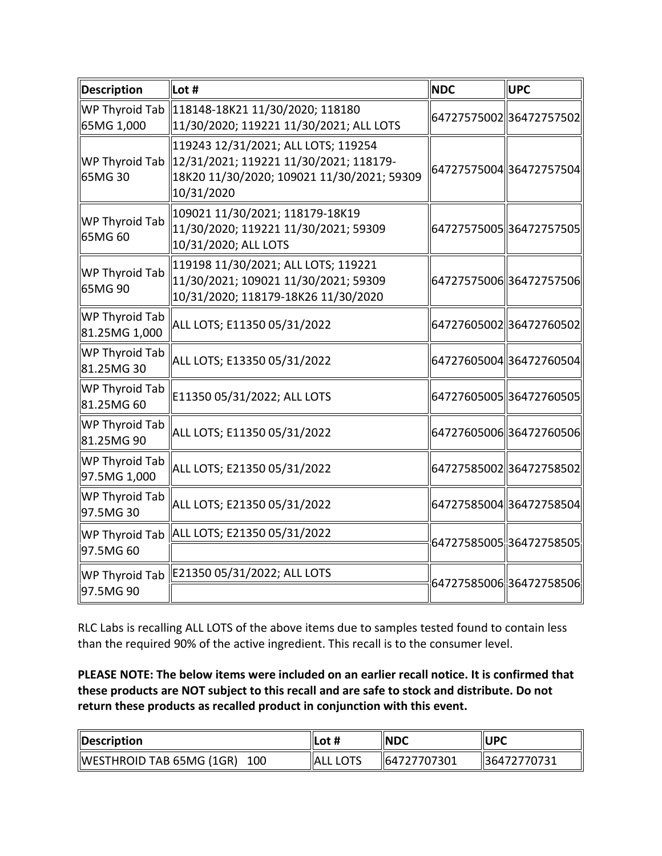| Description                     | Lot #                                                                                                                                     | <b>NDC</b>              | <b>UPC</b> |
|---------------------------------|-------------------------------------------------------------------------------------------------------------------------------------------|-------------------------|------------|
| WP Thyroid Tab<br>65MG 1,000    | 118148-18K21 11/30/2020; 118180<br>11/30/2020; 119221 11/30/2021; ALL LOTS                                                                | 64727575002 36472757502 |            |
| WP Thyroid Tab<br>65MG 30       | 119243 12/31/2021; ALL LOTS; 119254<br>12/31/2021; 119221 11/30/2021; 118179-<br>18K20 11/30/2020; 109021 11/30/2021; 59309<br>10/31/2020 | 64727575004 36472757504 |            |
| WP Thyroid Tab<br>65MG 60       | 109021 11/30/2021; 118179-18K19<br>11/30/2020; 119221 11/30/2021; 59309<br>10/31/2020; ALL LOTS                                           | 64727575005 36472757505 |            |
| WP Thyroid Tab<br>65MG 90       | 119198 11/30/2021; ALL LOTS; 119221<br>11/30/2021; 109021 11/30/2021; 59309<br>10/31/2020; 118179-18K26 11/30/2020                        | 64727575006 36472757506 |            |
| WP Thyroid Tab<br>81.25MG 1,000 | ALL LOTS; E11350 05/31/2022                                                                                                               | 6472760500236472760502  |            |
| WP Thyroid Tab<br>81.25MG 30    | ALL LOTS; E13350 05/31/2022                                                                                                               | 64727605004 36472760504 |            |
| WP Thyroid Tab<br>81.25MG 60    | E11350 05/31/2022; ALL LOTS                                                                                                               | 64727605005 36472760505 |            |
| WP Thyroid Tab<br>81.25MG 90    | ALL LOTS; E11350 05/31/2022                                                                                                               | 64727605006 36472760506 |            |
| WP Thyroid Tab<br>97.5MG 1,000  | ALL LOTS; E21350 05/31/2022                                                                                                               | 64727585002 36472758502 |            |
| WP Thyroid Tab<br>97.5MG 30     | ALL LOTS; E21350 05/31/2022                                                                                                               | 64727585004 36472758504 |            |
| WP Thyroid Tab<br>97.5MG 60     | ALL LOTS; E21350 05/31/2022                                                                                                               | 64727585005 36472758505 |            |
| WP Thyroid Tab<br>97.5MG 90     | E21350 05/31/2022; ALL LOTS                                                                                                               | 64727585006 36472758506 |            |

 than the required 90% of the active ingredient. This recall is to the consumer level. RLC Labs is recalling ALL LOTS of the above items due to samples tested found to contain less

 **PLEASE NOTE: The below items were included on an earlier recall notice. It is confirmed that these products are NOT subject to this recall and are safe to stock and distribute. Do not return these products as recalled product in conjunction with this event.** 

| Description                     | ∥Lot #                | <b>INDC</b>  | <b>IUPC</b> |
|---------------------------------|-----------------------|--------------|-------------|
| WESTHROID TAB 65MG (1GR)<br>100 | <b>IALL</b><br>. LOTS | 164727707301 | 36472770731 |